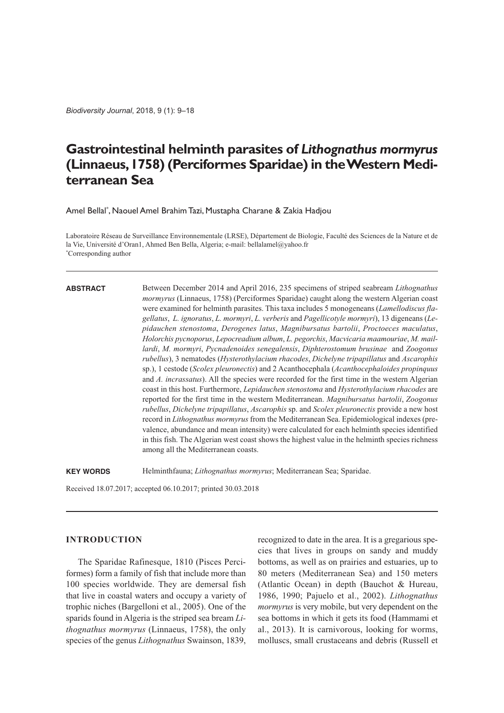*Biodiversity Journal*, 2018, 9 (1): 9–18

# **Gastrointestinal helminth parasites of** *Lithognathus mormyrus* **(Linnaeus,1758)(Perciformes Sparidae)in theWestern Mediterranean Sea**

Amel Bellal \* , Naouel Amel BrahimTazi, Mustapha Charane & Zakia Hadjou

Laboratoire Réseau de Surveillance Environnementale (LRSE), Département de Biologie, Faculté des Sciences de la Nature et de la Vie, Université d'Oran1, Ahmed Ben Bella, Algeria; e-mail: bellalamel@yahoo.fr \* Corresponding author

### **ABSTRACT**

Between December 2014 and April 2016, 235 specimens of striped seabream *Lithognathus mormyrus* (Linnaeus, 1758) (Perciformes Sparidae) caught along the western Algerian coast were examined for helminth parasites. This taxa includes 5 monogeneans (*Lamellodiscus flagellatus*, *L. ignoratus*, *L. mormyri*, *L. verberis* and *Pagellicotyle mormyri*), 13 digeneans (*Lepidauchen stenostoma*, *Derogenes latus*, *Magnibursatus bartolii*, *Proctoeces maculatus*, *Holorchis pycnoporus*, *Lepocreadium album*, *L. pegorchis*, *Macvicaria maamouriae*, *M. maillardi*, *M. mormyri*, *Pycnadenoides senegalensis*, *Diphterostomum brusinae* and *Zoogonus rubellus*), 3 nematodes (*Hysterothylacium rhacodes*, *Dichelyne tripapillatus* and *Ascarophis* sp.), 1 cestode (*Scolex pleuronectis*) and 2 Acanthocephala (*Acanthocephaloides propinquus* and *A. incrassatus*). All the species were recorded for the first time in the western Algerian coast in this host. Furthermore, *Lepidauchen stenostoma* and *Hysterothylacium rhacodes* are reported for the first time in the western Mediterranean. *Magnibursatus bartolii*, *Zoogonus rubellus*, *Dichelyne tripapillatus*, *Ascarophis* sp. and *Scolex pleuronectis* provide a new host record in *Lithognathus mormyrus* from the Mediterranean Sea. Epidemiological indexes (prevalence, abundance and mean intensity) were calculated for each helminth species identified in this fish. The Algerian west coast shows the highest value in the helminth species richness among all the Mediterranean coasts.

**KEY WORDS** Helminthfauna; *Lithognathus mormyrus*; Mediterranean Sea; Sparidae.

Received 18.07.2017; accepted 06.10.2017; printed 30.03.2018

## **INTRODUCTION**

The Sparidae Rafinesque, 1810 (Pisces Perciformes) form a family of fish that include more than 100 species worldwide. They are demersal fish that live in coastal waters and occupy a variety of trophic niches (Bargelloni et al., 2005). One of the sparids found in Algeria is the striped sea bream *Lithognathus mormyrus* (Linnaeus, 1758), the only species of the genus *Lithognathus* Swainson, 1839,

recognized to date in the area. It is a gregarious species that lives in groups on sandy and muddy bottoms, as well as on prairies and estuaries, up to 80 meters (Mediterranean Sea) and 150 meters (Atlantic Ocean) in depth (Bauchot & Hureau, 1986, 1990; Pajuelo et al., 2002). *Lithognathus mormyrus* is very mobile, but very dependent on the sea bottoms in which it gets its food (Hammami et al., 2013). It is carnivorous, looking for worms, molluscs, small crustaceans and debris (Russell et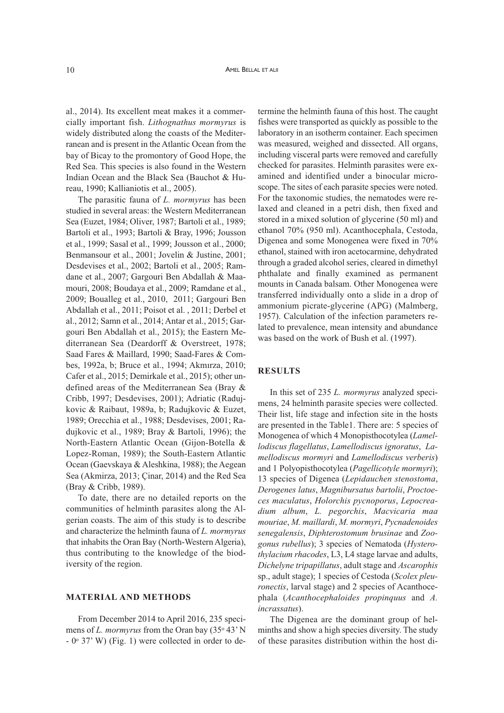al., 2014). Its excellent meat makes it a commercially important fish. *Lithognathus mormyrus* is widely distributed along the coasts of the Mediterranean and is present in the Atlantic Ocean from the bay of Bicay to the promontory of Good Hope, the Red Sea. This species is also found in the Western Indian Ocean and the Black Sea (Bauchot & Hureau, 1990; Kallianiotis et al., 2005).

The parasitic fauna of *L. mormyrus* has been studied in several areas: the Western Mediterranean Sea (Euzet, 1984; Oliver, 1987; Bartoli et al., 1989; Bartoli et al., 1993; Bartoli & Bray, 1996; Jousson et al., 1999; Sasal et al., 1999; Jousson et al., 2000; Benmansour et al., 2001; Jovelin & Justine, 2001; Desdevises et al., 2002; Bartoli et al., 2005; Ramdane et al., 2007; Gargouri Ben Abdallah & Maamouri, 2008; Boudaya et al., 2009; Ramdane et al., 2009; Boualleg et al., 2010, 2011; Gargouri Ben Abdallah et al., 2011; Poisot et al. , 2011; Derbel et al., 2012; Samn et al., 2014; Antar et al., 2015; Gargouri Ben Abdallah et al., 2015); the Eastern Mediterranean Sea (Deardorff & Overstreet, 1978; Saad Fares & Maillard, 1990; Saad-Fares & Combes, 1992a, b; Bruce et al., 1994; Akmırza, 2010; Cafer et al., 2015; Demirkale et al., 2015); other undefined areas of the Mediterranean Sea (Bray & Cribb, 1997; Desdevises, 2001); Adriatic (Radujkovic & Raibaut, 1989a, b; Radujkovic & Euzet, 1989; Orecchia et al., 1988; Desdevises, 2001; Radujkovic et al., 1989; Bray & Bartoli, 1996); the North-Eastern Atlantic Ocean (Gijon-Botella & Lopez-Roman, 1989); the South-Eastern Atlantic Ocean (Gaevskaya & Aleshkina, 1988); the Aegean Sea (Akmirza, 2013; Çinar, 2014) and the Red Sea (Bray & Cribb, 1989).

To date, there are no detailed reports on the communities of helminth parasites along the Algerian coasts. The aim of this study is to describe and characterize the helminth fauna of *L. mormyrus* that inhabits the Oran Bay (North-Western Algeria), thus contributing to the knowledge of the biodiversity of the region.

#### **MATERIAL AND METHODS**

From December 2014 to April 2016, 235 specimens of *L. mormyrus* from the Oran bay (35<sup>°</sup> 43<sup>°</sup> N  $-$  0 $\degree$  37' W) (Fig. 1) were collected in order to de-

termine the helminth fauna of this host. The caught fishes were transported as quickly as possible to the laboratory in an isotherm container. Each specimen was measured, weighed and dissected. All organs, including visceral parts were removed and carefully checked for parasites. Helminth parasites were examined and identified under a binocular microscope. The sites of each parasite species were noted. For the taxonomic studies, the nematodes were relaxed and cleaned in a petri dish, then fixed and stored in a mixed solution of glycerine (50 ml) and ethanol 70% (950 ml). Acanthocephala, Cestoda, Digenea and some Monogenea were fixed in 70% ethanol, stained with iron acetocarmine, dehydrated through a graded alcohol series, cleared in dimethyl phthalate and finally examined as permanent mounts in Canada balsam. Other Monogenea were transferred individually onto a slide in a drop of ammonium picrate-glycerine (APG) (Malmberg, 1957). Calculation of the infection parameters related to prevalence, mean intensity and abundance was based on the work of Bush et al. (1997).

### **RESULTS**

In this set of 235 *L. mormyrus* analyzed specimens, 24 helminth parasite species were collected. Their list, life stage and infection site in the hosts are presented in the Table1. There are: 5 species of Monogenea of which 4 Monopisthocotylea (*Lamellodiscus flagellatus*, *Lamellodiscus ignoratus*, *Lamellodiscus mormyri* and *Lamellodiscus verberis*) and 1 Polyopisthocotylea (*Pagellicotyle mormyri*); 13 species of Digenea (*Lepidauchen stenostoma*, *Derogenes latus*, *Magnibursatus bartolii*, *Proctoeces maculatus*, *Holorchis pycnoporus*, *Lepocreadium album*, *L. pegorchis*, *Macvicaria maa mouriae*, *M. maillardi*, *M. mormyri*, *Pycnadenoides senegalensis*, *Diphterostomum brusinae* and *Zoogonus rubellus*); 3 species of Nematoda (*Hysterothylacium rhacodes*, L3, L4 stage larvae and adults, *Dichelyne tripapillatus*, adult stage and *Ascarophis* sp., adult stage); 1 species of Cestoda (*Scolex pleuronectis*, larval stage) and 2 species of Acanthocephala (*Acanthocephaloides propinquus* and *A. incrassatus*).

The Digenea are the dominant group of helminths and show a high species diversity. The study of these parasites distribution within the host di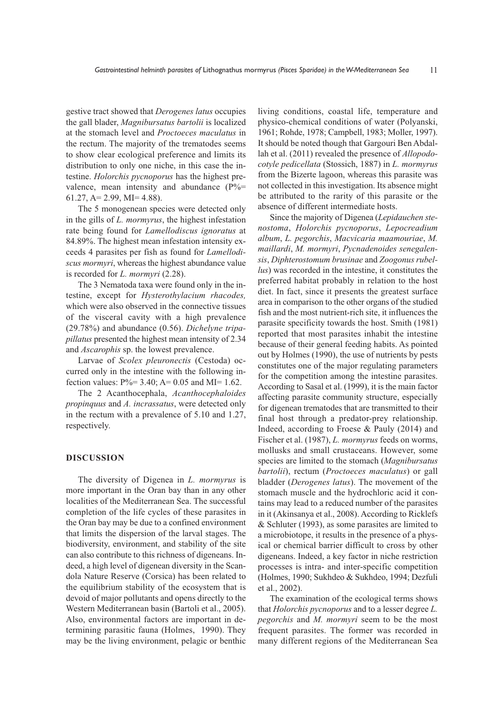gestive tract showed that *Derogenes latus* occupies the gall blader, *Magnibursatus bartolii* is localized at the stomach level and *Proctoeces maculatus* in the rectum. The majority of the trematodes seems to show clear ecological preference and limits its distribution to only one niche, in this case the intestine. *Holorchis pycnoporus* has the highest prevalence, mean intensity and abundance  $(P\% =$ 61.27, A= 2.99, MI= 4.88).

The 5 monogenean species were detected only in the gills of *L. mormyrus*, the highest infestation rate being found for *Lamellodiscus ignoratus* at 84.89%. The highest mean infestation intensity exceeds 4 parasites per fish as found for *Lamellodiscus mormyri*, whereas the highest abundance value is recorded for *L. mormyri* (2.28).

The 3 Nematoda taxa were found only in the intestine, except for *Hysterothylacium rhacodes,* which were also observed in the connective tissues of the visceral cavity with a high prevalence (29.78%) and abundance (0.56). *Dichelyne tripapillatus* presented the highest mean intensity of 2.34 and *Ascarophis* sp. the lowest prevalence.

Larvae of *Scolex pleuronectis* (Cestoda) occurred only in the intestine with the following infection values:  $P\% = 3.40$ ; A= 0.05 and MI= 1.62.

The 2 Acanthocephala, *Acanthocephaloides propinquus* and *A. incrassatus*, were detected only in the rectum with a prevalence of 5.10 and 1.27, respectively.

### **DISCUSSION**

The diversity of Digenea in *L. mormyrus* is more important in the Oran bay than in any other localities of the Mediterranean Sea. The successful completion of the life cycles of these parasites in the Oran bay may be due to a confined environment that limits the dispersion of the larval stages. The biodiversity, environment, and stability of the site can also contribute to this richness of digeneans. Indeed, a high level of digenean diversity in the Scandola Nature Reserve (Corsica) has been related to the equilibrium stability of the ecosystem that is devoid of major pollutants and opens directly to the Western Mediterranean basin (Bartoli et al., 2005). Also, environmental factors are important in determining parasitic fauna (Holmes, 1990). They may be the living environment, pelagic or benthic

living conditions, coastal life, temperature and physico-chemical conditions of water (Polyanski, 1961; Rohde, 1978; Campbell, 1983; Moller, 1997). It should be noted though that Gargouri Ben Abdallah et al. (2011) revealed the presence of *Allopodocotyle pedicellata* (Stossich, 1887) in *L. mormyrus* from the Bizerte lagoon, whereas this parasite was not collected in this investigation. Its absence might be attributed to the rarity of this parasite or the absence of different intermediate hosts.

Since the majority of Digenea (*Lepidauchen stenostoma*, *Holorchis pycnoporus*, *Lepocreadium album*, *L. pegorchis*, *Macvicaria maamouriae*, *M. maillardi*, *M. mormyri*, *Pycnadenoides senegalensis*, *Diphterostomum brusinae* and *Zoogonus rubellus*) was recorded in the intestine, it constitutes the preferred habitat probably in relation to the host diet. In fact, since it presents the greatest surface area in comparison to the other organs of the studied fish and the most nutrient-rich site, it influences the parasite specificity towards the host. Smith (1981) reported that most parasites inhabit the intestine because of their general feeding habits. As pointed out by Holmes (1990), the use of nutrients by pests constitutes one of the major regulating parameters for the competition among the intestine parasites. According to Sasal et al. (1999), it is the main factor affecting parasite community structure, especially for digenean trematodes that are transmitted to their final host through a predator-prey relationship. Indeed, according to Froese & Pauly (2014) and Fischer et al. (1987), *L. mormyrus* feeds on worms, mollusks and small crustaceans. However, some species are limited to the stomach (*Magnibursatus bartolii*), rectum (*Proctoeces maculatus*) or gall bladder (*Derogenes latus*). The movement of the stomach muscle and the hydrochloric acid it contains may lead to a reduced number of the parasites in it (Akinsanya et al., 2008). According to Ricklefs & Schluter (1993), as some parasites are limited to a microbiotope, it results in the presence of a physical or chemical barrier difficult to cross by other digeneans. Indeed, a key factor in niche restriction processes is intra- and inter-specific competition (Holmes, 1990; Sukhdeo & Sukhdeo, 1994; Dezfuli et al., 2002).

The examination of the ecological terms shows that *Holorchis pycnoporus* and to a lesser degree *L. pegorchis* and *M. mormyri* seem to be the most frequent parasites. The former was recorded in many different regions of the Mediterranean Sea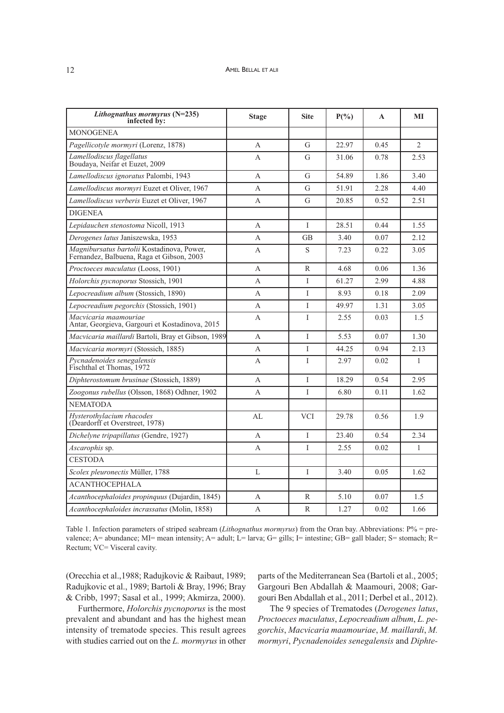| Lithognathus mormyrus (N=235)<br>infected by:                                           | <b>Stage</b> | <b>Site</b>  | $P(\%)$ | A    | МI             |
|-----------------------------------------------------------------------------------------|--------------|--------------|---------|------|----------------|
| <b>MONOGENEA</b>                                                                        |              |              |         |      |                |
| Pagellicotyle mormyri (Lorenz, 1878)                                                    | A            | G            | 22.97   | 0.45 | $\overline{2}$ |
| Lamellodiscus flagellatus<br>Boudaya, Neifar et Euzet, 2009                             | А            | G            | 31.06   | 0.78 | 2.53           |
| Lamellodiscus ignoratus Palombi, 1943                                                   | A            | G            | 54.89   | 1.86 | 3.40           |
| Lamellodiscus mormyri Euzet et Oliver, 1967                                             | A            | G            | 51.91   | 2.28 | 4.40           |
| Lamellodiscus verberis Euzet et Oliver, 1967                                            | А            | G            | 20.85   | 0.52 | 2.51           |
| <b>DIGENEA</b>                                                                          |              |              |         |      |                |
| Lepidauchen stenostoma Nicoll, 1913                                                     | A            | I            | 28.51   | 0.44 | 1.55           |
| Derogenes latus Janiszewska, 1953                                                       | А            | GB           | 3.40    | 0.07 | 2.12           |
| Magnibursatus bartolii Kostadinova, Power,<br>Fernandez, Balbuena, Raga et Gibson, 2003 | А            | S            | 7.23    | 0.22 | 3.05           |
| Proctoeces maculatus (Looss, 1901)                                                      | А            | R            | 4.68    | 0.06 | 1.36           |
| Holorchis pycnoporus Stossich, 1901                                                     | А            | Ι            | 61.27   | 2.99 | 4.88           |
| Lepocreadium album (Stossich, 1890)                                                     | А            | I            | 8.93    | 0.18 | 2.09           |
| Lepocreadium pegorchis (Stossich, 1901)                                                 | А            | L            | 49.97   | 1.31 | 3.05           |
| Macvicaria maamouriae<br>Antar, Georgieva, Gargouri et Kostadinova, 2015                | А            | T            | 2.55    | 0.03 | 1.5            |
| Macvicaria maillardi Bartoli, Bray et Gibson, 1989                                      | A            | T            | 5.53    | 0.07 | 1.30           |
| Macvicaria mormyri (Stossich, 1885)                                                     | A            | T            | 44.25   | 0.94 | 2.13           |
| Pycnadenoides senegalensis<br>Fischthal et Thomas, 1972                                 | A            | T            | 2.97    | 0.02 | $\mathbf{1}$   |
| Diphterostomum brusinae (Stossich, 1889)                                                | A            | $\mathbf{I}$ | 18.29   | 0.54 | 2.95           |
| Zoogonus rubellus (Olsson, 1868) Odhner, 1902                                           | А            | Ι            | 6.80    | 0.11 | 1.62           |
| <b>NEMATODA</b>                                                                         |              |              |         |      |                |
| Hysterothylacium rhacodes<br>(Deardorff et Overstreet, 1978)                            | AL           | <b>VCI</b>   | 29.78   | 0.56 | 1.9            |
| Dichelyne tripapillatus (Gendre, 1927)                                                  | А            | Ι            | 23.40   | 0.54 | 2.34           |
| Ascarophis sp.                                                                          | А            | I            | 2.55    | 0.02 | $\mathbf{1}$   |
| <b>CESTODA</b>                                                                          |              |              |         |      |                |
| Scolex pleuronectis Müller, 1788                                                        | L            | T            | 3.40    | 0.05 | 1.62           |
| <b>ACANTHOCEPHALA</b>                                                                   |              |              |         |      |                |
| Acanthocephaloides propinquus (Dujardin, 1845)                                          | А            | R            | 5.10    | 0.07 | 1.5            |
| Acanthocephaloides incrassatus (Molin, 1858)                                            | А            | R            | 1.27    | 0.02 | 1.66           |

Table 1. Infection parameters of striped seabream (*Lithognathus mormyrus*) from the Oran bay. Abbreviations: P% = prevalence; A= abundance; MI= mean intensity; A= adult; L= larva; G= gills; I= intestine; GB= gall blader; S= stomach; R= Rectum; VC= Visceral cavity.

(Orecchia et al.,1988; Radujkovic & Raibaut, 1989; Radujkovic et al., 1989; Bartoli & Bray, 1996; Bray & Cribb, 1997; Sasal et al., 1999; Akmirza, 2000).

Furthermore, *Holorchis pycnoporus* is the most prevalent and abundant and has the highest mean intensity of trematode species. This result agrees with studies carried out on the *L. mormyrus* in other parts of the Mediterranean Sea (Bartoli et al., 2005; Gargouri Ben Abdallah & Maamouri, 2008; Gargouri Ben Abdallah et al., 2011; Derbel et al., 2012).

The 9 species of Trematodes (*Derogenes latus*, *Proctoeces maculatus*, *Lepocreadium album*, *L. pegorchis*, *Macvicaria maamouriae*, *M. maillardi*, *M. mormyri*, *Pycnadenoides senegalensis* and *Diphte-*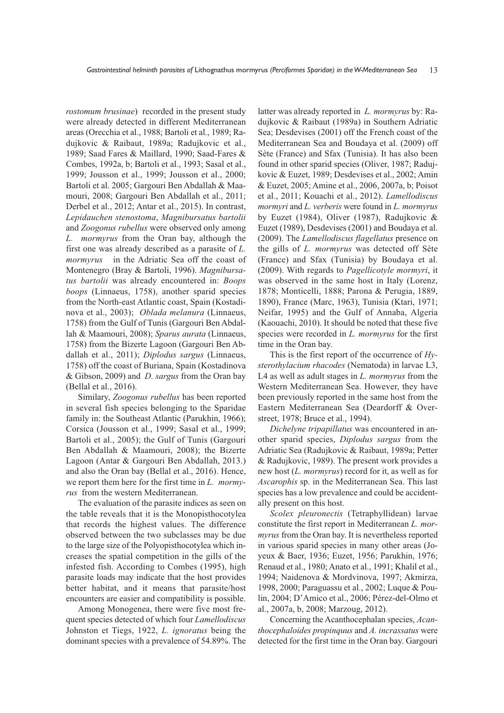*rostomum brusinae*) recorded in the present study were already detected in different Mediterranean areas (Orecchia et al., 1988; Bartoli et al., 1989; Radujkovic & Raibaut, 1989a; Radujkovic et al., 1989; Saad Fares & Maillard, 1990; Saad-Fares & Combes, 1992a, b; Bartoli et al., 1993; Sasal et al., 1999; Jousson et al., 1999; Jousson et al., 2000; Bartoli et al. 2005; Gargouri Ben Abdallah & Maamouri, 2008; Gargouri Ben Abdallah et al., 2011; Derbel et al., 2012; Antar et al., 2015). In contrast, *Lepidauchen stenostoma*, *Magnibursatus bartolii* and *Zoogonus rubellus* were observed only among *L. mormyrus* from the Oran bay, although the first one was already described as a parasite of *L. mormyrus* in the Adriatic Sea off the coast of Montenegro (Bray & Bartoli, 1996). *Magnibursatus bartolii* was already encountered in: *Boops boops* (Linnaeus, 1758), another sparid species from the North-east Atlantic coast, Spain (Kostadinova et al., 2003); *Oblada melanura* (Linnaeus, 1758) from the Gulf of Tunis (Gargouri Ben Abdallah & Maamouri, 2008); *Sparus aurata* (Linnaeus, 1758) from the Bizerte Lagoon (Gargouri Ben Abdallah et al., 2011); *Diplodus sargus* (Linnaeus, 1758) off the coast of Buriana, Spain (Kostadinova & Gibson, 2009) and *D. sargus* from the Oran bay (Bellal et al., 2016).

Similary, *Zoogonus rubellus* has been reported in several fish species belonging to the Sparidae family in: the Southeast Atlantic (Parukhin, 1966); Corsica (Jousson et al., 1999; Sasal et al., 1999; Bartoli et al., 2005); the Gulf of Tunis (Gargouri Ben Abdallah & Maamouri, 2008); the Bizerte Lagoon (Antar & Gargouri Ben Abdallah, 2013.) and also the Oran bay (Bellal et al., 2016). Hence, we report them here for the first time in *L. mormyrus* from the western Mediterranean.

The evaluation of the parasite indices as seen on the table reveals that it is the Monopisthocotylea that records the highest values. The difference observed between the two subclasses may be due to the large size of the Polyopisthocotylea which increases the spatial competition in the gills of the infested fish. According to Combes (1995), high parasite loads may indicate that the host provides better habitat, and it means that parasite/host encounters are easier and compatibility is possible.

Among Monogenea, there were five most frequent species detected of which four *Lamellodiscus* Johnston et Tiegs, 1922, *L. ignoratus* being the dominant species with a prevalence of 54.89%. The

latter was already reported in *L. mormyrus* by: Radujkovic & Raibaut (1989a) in Southern Adriatic Sea; Desdevises (2001) off the French coast of the Mediterranean Sea and Boudaya et al. (2009) off Sète (France) and Sfax (Tunisia). It has also been found in other sparid species (Oliver, 1987; Radujkovic & Euzet, 1989; Desdevises et al., 2002; Amin & Euzet, 2005; Amine et al., 2006, 2007a, b; Poisot et al., 2011; Kouachi et al., 2012). *Lamellodiscus mormyri* and *L. verberis* were found in *L. mormyrus* by Euzet (1984), Oliver (1987), Radujkovic & Euzet (1989), Desdevises (2001) and Boudaya et al. (2009). The *Lamellodiscus flagellatus* presence on the gills of *L. mormyrus* was detected off Sète (France) and Sfax (Tunisia) by Boudaya et al. (2009). With regards to *Pagellicotyle mormyri*, it was observed in the same host in Italy (Lorenz, 1878; Monticelli, 1888; Parona & Perugia, 1889, 1890), France (Marc, 1963), Tunisia (Ktari, 1971; Neifar, 1995) and the Gulf of Annaba, Algeria (Kaouachi, 2010). It should be noted that these five species were recorded in *L. mormyrus* for the first time in the Oran bay.

This is the first report of the occurrence of *Hysterothylacium rhacodes* (Nematoda) in larvae L3, L4 as well as adult stages in *L. mormyrus* from the Western Mediterranean Sea. However, they have been previously reported in the same host from the Eastern Mediterranean Sea (Deardorff & Overstreet, 1978; Bruce et al., 1994).

*Dichelyne tripapillatus* was encountered in another sparid species, *Diplodus sargus* from the Adriatic Sea (Radujkovic & Raibaut, 1989a; Petter & Radujkovic, 1989). The present work provides a new host (*L. mormyrus*) record for it, as well as for *Ascarophis* sp. in the Mediterranean Sea. This last species has a low prevalence and could be accidentally present on this host.

*Scolex pleuronectis* (Tetraphyllidean) larvae constitute the first report in Mediterranean *L. mormyrus* from the Oran bay. It is nevertheless reported in various sparid species in many other areas (Joyeux & Baer, 1936; Euzet, 1956; Parukhin, 1976; Renaud et al., 1980; Anato et al., 1991; Khalil et al., 1994; Naidenova & Mordvinova, 1997; Akmirza, 1998, 2000; Paraguassu et al., 2002; Luque & Poulin, 2004; D'Amico et al., 2006; Pérez-del-Olmo et al., 2007a, b, 2008; Marzoug, 2012).

Concerning the Acanthocephalan species, *Acanthocephaloides propinquus* and *A. incrassatus* were detected for the first time in the Oran bay. Gargouri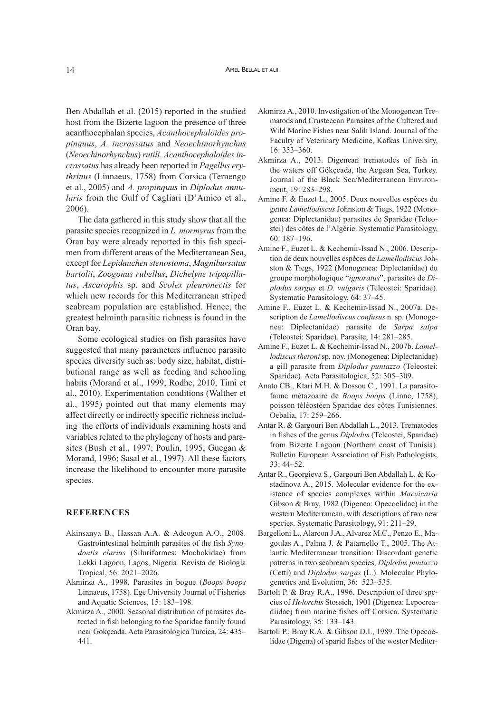Ben Abdallah et al. (2015) reported in the studied host from the Bizerte lagoon the presence of three acanthocephalan species, *Acanthocephaloides propinquus*, *A. incrassatus* and *Neoechinorhynchus* (*Neoechinorhynchus*) *rutili*. *Acanthocephaloides incrassatus* has already been reported in *Pagellus erythrinus* (Linnaeus, 1758) from Corsica (Ternengo et al., 2005) and *A. propinquus* in *Diplodus annularis* from the Gulf of Cagliari (D'Amico et al., 2006).

The data gathered in this study show that all the parasite species recognized in *L. mormyrus* from the Oran bay were already reported in this fish specimen from different areas of the Mediterranean Sea, except for *Lepidauchen stenostoma*, *Magnibursatus bartolii*, *Zoogonus rubellus*, *Dichelyne tripapillatus*, *Ascarophis* sp. and *Scolex pleuronectis* for which new records for this Mediterranean striped seabream population are established. Hence, the greatest helminth parasitic richness is found in the Oran bay.

Some ecological studies on fish parasites have suggested that many parameters influence parasite species diversity such as: body size, habitat, distributional range as well as feeding and schooling habits (Morand et al., 1999; Rodhe, 2010; Timi et al., 2010). Experimentation conditions (Walther et al., 1995) pointed out that many elements may affect directly or indirectly specific richness including the efforts of individuals examining hosts and variables related to the phylogeny of hosts and parasites (Bush et al., 1997; Poulin, 1995; Guegan & Morand, 1996; Sasal et al., 1997). All these factors increase the likelihood to encounter more parasite species.

#### **REFERENCES**

- Akinsanya B., Hassan A.A. & Adeogun A.O., 2008. Gastrointestinal helminth parasites of the fish *Synodontis clarias* (Siluriformes: Mochokidae) from Lekki Lagoon, Lagos, Nigeria. Revista de Biología Tropical, 56: 2021–2026.
- Akmirza A., 1998. Parasites in bogue (*Boops boops* Linnaeus, 1758). Ege University Journal of Fisheries and Aquatic Sciences, 15: 183–198.
- Akmirza A., 2000. Seasonal distribution of parasites detected in fish belonging to the Sparidae family found near Gokçeada. Acta Parasitologica Turcica, 24: 435– 441.
- Akmirza A., 2010. Investigation of the Monogenean Trematods and Crustecean Parasites of the Cultered and Wild Marine Fishes near Salih Island. Journal of the Faculty of Veterinary Medicine, Kafkas University, 16: 353–360.
- Akmirza A., 2013. Digenean trematodes of fish in the waters off Gökçeada, the Aegean Sea, Turkey. Journal of the Black Sea/Mediterranean Environment, 19: 283–298.
- Amine F. & Euzet L., 2005. Deux nouvelles espèces du genre *Lamellodiscus* Johnston & Tiegs, 1922 (Monogenea: Diplectanidae) parasites de Sparidae (Teleostei) des côtes de l'Algérie. Systematic Parasitology, 60: 187–196.
- Amine F., Euzet L. & Kechemir-Issad N., 2006. Description de deux nouvelles espèces de *Lamellodiscus* Johston & Tiegs, 1922 (Monogenea: Diplectanidae) du groupe morphologique "*ignoratus*", parasites de *Diplodus sargus* et *D. vulgaris* (Teleostei: Sparidae). Systematic Parasitology, 64: 37–45.
- Amine F., Euzet L. & Kechemir-Issad N., 2007a. Description de *Lamellodiscus confusus* n. sp. (Monogenea: Diplectanidae) parasite de *Sarpa salpa* (Teleostei: Sparidae). Parasite, 14: 281–285.
- Amine F., Euzet L. & Kechemir-Issad N., 2007b. *Lamellodiscus theroni* sp. nov. (Monogenea: Diplectanidae) a gill parasite from *Diplodus puntazzo* (Teleostei: Sparidae). Acta Parasitologica, 52: 305–309.
- Anato CB., Ktari M.H. & Dossou C., 1991. La parasitofaune métazoaire de *Boops boops* (Linne, 1758), poisson téléostéen Sparidae des côtes Tunisiennes. Oebalia, 17: 259–266.
- Antar R. & Gargouri Ben Abdallah L., 2013. Trematodes in fishes of the genus *Diplodus* (Teleostei, Sparidae) from Bizerte Lagoon (Northern coast of Tunisia). Bulletin European Association of Fish Pathologists, 33: 44–52.
- Antar R., Georgieva S., Gargouri Ben Abdallah L. & Kostadinova A., 2015. Molecular evidence for the existence of species complexes within *Macvicaria* Gibson & Bray, 1982 (Digenea: Opecoelidae) in the western Mediterranean, with descriptions of two new species. Systematic Parasitology, 91: 211–29.
- Bargelloni L., Alarcon J.A., Alvarez M.C., Penzo E., Magoulas A., Palma J. & Patarnello T., 2005. The Atlantic Mediterranean transition: Discordant genetic patterns in two seabream species, *Diplodus puntazzo* (Cetti) and *Diplodus sargus* (L.). Molecular Phylogenetics and Evolution, 36: 523–535.
- Bartoli P. & Bray R.A., 1996. Description of three species of *Holorchis* Stossich, 1901 (Digenea: Lepocreadiidae) from marine fishes off Corsica. Systematic Parasitology, 35: 133–143.
- Bartoli P., Bray R.A. & Gibson D.I., 1989. The Opecoelidae (Digena) of sparid fishes of the wester Mediter-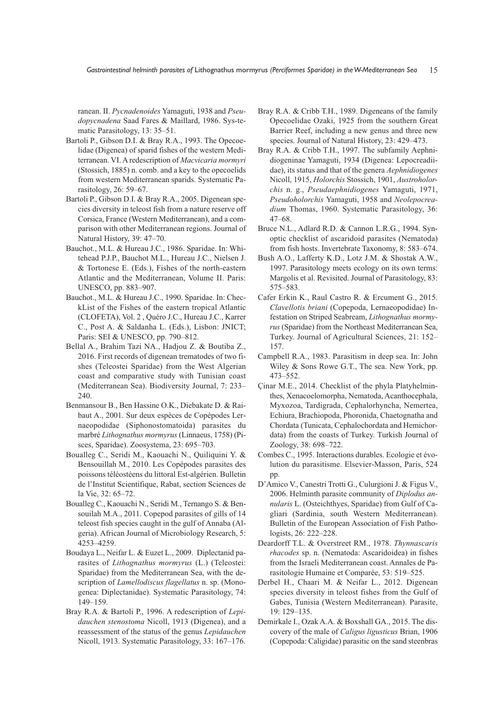ranean. II. *Pycnadenoides* Yamaguti, 1938 and *Pseudopycnadena* Saad Fares & Maillard, 1986. Sys-tematic Parasitology, 13: 35–51.

- Bartoli P., Gibson D.I. & Bray R.A., 1993. The Opecoelidae (Digenea) of sparid fishes of the western Mediterranean. VI. A redescription of *Macvicaria mormyri* (Stossich, 1885) n. comb. and a key to the opecoelids from western Mediterranean sparids. Systematic Parasitology, 26: 59–67.
- Bartoli P., Gibson D.I. & Bray R.A., 2005. Digenean species diversity in teleost fish from a nature reserve off Corsica, France (Western Mediterranean), and a comparison with other Mediterranean regions. Journal of Natural History, 39: 47–70.
- Bauchot., M.L. & Hureau J.C., 1986. Sparidae. In: Whitehead P.J.P., Bauchot M.L., Hureau J.C., Nielsen J. & Tortonese E. (Eds.), Fishes of the north-eastern Atlantic and the Mediterranean, Volume II. Paris: UNESCO, pp. 883–907.
- Bauchot., M.L. & Hureau J.C., 1990. Sparidae. In: CheckList of the Fishes of the eastern tropical Atlantic (CLOFETA), Vol. 2 , Quéro J.C., Hureau J.C., Karrer C., Post A. & Saldanha L. (Eds.), Lisbon: JNICT; Paris: SEI & UNESCO, pp. 790–812.
- Bellal A., Brahim Tazi NA., Hadjou Z. & Boutiba Z., 2016. First records of digenean trematodes of two fishes (Teleostei Sparidae) from the West Algerian coast and comparative study with Tunisian coast (Mediterranean Sea). Biodiversity Journal, 7: 233– 240.
- Benmansour B., Ben Hassine O.K., Diebakate D. & Raibaut A., 2001. Sur deux espèces de Copépodes Lernaeopodidae (Siphonostomatoida) parasites du marbré *Lithognathus mormyrus* (Linnaeus, 1758) (Pisces, Sparidae). Zoosystema, 23: 695–703.
- Boualleg C., Seridi M., Kaouachi N., Quiliquini Y. & Bensouillah M., 2010. Les Copépodes parasites des poissons téléostéens du littoral Est-algérien. Bulletin de l'Institut Scientifique, Rabat, section Sciences de la Vie, 32: 65–72.
- Boualleg C., Kaouachi N., Seridi M., Ternango S. & Bensouilah M.A., 2011. Copepod parasites of gills of 14 teleost fish species caught in the gulf of Annaba (Algeria). African Journal of Microbiology Research, 5: 4253–4259.
- Boudaya L., Neifar L. & Euzet L., 2009. Diplectanid parasites of *Lithognathus mormyrus* (L.) (Teleostei: Sparidae) from the Mediterranean Sea, with the description of *Lamellodiscus flagellatus* n. sp. (Monogenea: Diplectanidae). Systematic Parasitology, 74: 149–159.
- Bray R.A. & Bartoli P., 1996. A redescription of *Lepidauchen stenostoma* Nicoll, 1913 (Digenea), and a reassessment of the status of the genus *Lepidauchen* Nicoll, 1913. Systematic Parasitology, 33: 167–176.
- Bray R.A. & Cribb T.H., 1989. Digeneans of the family Opecoelidae Ozaki, 1925 from the southern Great Barrier Reef, including a new genus and three new species. Journal of Natural History, 23: 429–473.
- Bray R.A. & Cribb T.H., 1997. The subfamily Aephnidiogeninae Yamaguti, 1934 (Digenea: Lepocreadiidae), its status and that of the genera *Aephnidiogenes* Nicoll, 1915, *Holorchis* Stossich, 1901, *Austroholorchis* n. g., *Pseudaephnidiogenes* Yamaguti, 1971, *Pseudoholorchis* Yamaguti, 1958 and *Neolepocreadium* Thomas, 1960. Systematic Parasitology, 36: 47–68.
- Bruce N.L., Adlard R.D. & Cannon L.R.G., 1994. Synoptic checklist of ascaridoid parasites (Nematoda) from fish hosts. Invertebrate Taxonomy, 8: 583–674.
- Bush A.O., Lafferty K.D., Lotz J.M. & Shostak A.W., 1997. Parasitology meets ecology on its own terms: Margolis et al. Revisited. Journal of Parasitology, 83: 575–583.
- Cafer Erkin K., Raul Castro R. & Ercument G., 2015. *Clavellotis briani* (Copepoda, Lernaeopodidae) Infestation on Striped Seabream, *Lithognathus mormyrus* (Sparidae) from the Northeast Mediterranean Sea, Turkey. Journal of Agricultural Sciences, 21: 152– 157.
- Campbell R.A., 1983. Parasitism in deep sea. In: John Wiley & Sons Rowe G.T., The sea. New York, pp. 473–552.
- Çinar M.E., 2014. Checklist of the phyla Platyhelminthes, Xenacoelomorpha, Nematoda, Acanthocephala, Myxozoa, Tardigrada, Cephalorhyncha, Nemertea, Echiura, Brachiopoda, Phoronida, Chaetognatha and Chordata (Tunicata, Cephalochordata and Hemichordata) from the coasts of Turkey. Turkish Journal of Zoology, 38: 698–722.
- Combes C., 1995. Interactions durables. Ecologie et évolution du parasitisme. Elsevier-Masson, Paris, 524 pp.
- D'Amico V., Canestri Trotti G., Culurgioni J. & Figus V., 2006. Helminth parasite community of *Diplodus annularis* L. (Osteichthyes, Sparidae) from Gulf of Cagliari (Sardinia, south Western Mediterranean). Bulletin of the European Association of Fish Pathologists, 26: 222–228.
- Deardorff T.L. & Overstreet RM., 1978. *Thynnascaris rhacodes* sp. n. (Nematoda: Ascaridoidea) in fishes from the Israeli Mediterranean coast. Annales de Parasitologie Humaine et Comparée, 53: 519–525.
- Derbel H., Chaari M. & Neifar L., 2012. Digenean species diversity in teleost fishes from the Gulf of Gabes, Tunisia (Western Mediterranean). Parasite, 19: 129–135.
- Demirkale I., Ozak A.A. & Boxshall GA., 2015. The discovery of the male of *Caligus ligusticus* Brian, 1906 (Copepoda: Caligidae) parasitic on the sand steenbras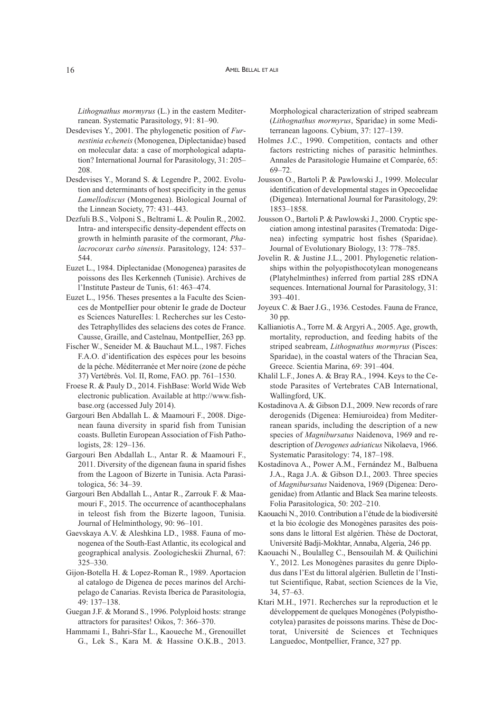*Lithognathus mormyrus* (L.) in the eastern Mediterranean. Systematic Parasitology, 91: 81–90.

- Desdevises Y., 2001. The phylogenetic position of *Furnestinia echeneis* (Monogenea, Diplectanidae) based on molecular data: a case of morphological adaptation? International Journal for Parasitology, 31: 205– 208.
- Desdevises Y., Morand S. & Legendre P., 2002. Evolution and determinants of host specificity in the genus *Lamellodiscus* (Monogenea). Biological Journal of the Linnean Society, 77: 431–443.
- Dezfuli B.S., Volponi S., Beltrami L. & Poulin R., 2002. Intra- and interspecific density-dependent effects on growth in helminth parasite of the cormorant, *Phalacrocorax carbo sinensis*. Parasitology, 124: 537– 544.
- Euzet L., 1984. Diplectanidae (Monogenea) parasites de poissons des Iles Kerkenneh (Tunisie). Archives de l'Institute Pasteur de Tunis, 61: 463–474.
- Euzet L., 1956. Theses presentes a la Faculte des Sciences de MontpeIIier pour obtenir Ie grade de Docteur es Sciences NatureIIes: l. Recherches sur les Cestodes Tetraphyllides des selaciens des cotes de France. Causse, Graille, and Castelnau, MontpeIIier, 263 pp.
- Fischer W., Seneider M. & Bauchaut M.L., 1987. Fiches F.A.O. d'identification des espèces pour les besoins de la péche. Méditerranée et Mer noire (zone de péche 37) Vertébrés. Vol. II, Rome, FAO. pp. 761–1530.
- Froese R. & Pauly D., 2014. FishBase: World Wide Web electronic publication. Available at http://www.fishbase.org (accessed July 2014).
- Gargouri Ben Abdallah L. & Maamouri F., 2008. Digenean fauna diversity in sparid fish from Tunisian coasts. Bulletin European Association of Fish Pathologists, 28: 129–136.
- Gargouri Ben Abdallah L., Antar R. & Maamouri F., 2011. Diversity of the digenean fauna in sparid fishes from the Lagoon of Bizerte in Tunisia. Acta Parasitologica, 56: 34–39.
- Gargouri Ben Abdallah L., Antar R., Zarrouk F. & Maamouri F., 2015. The occurrence of acanthocephalans in teleost fish from the Bizerte lagoon, Tunisia. Journal of Helminthology, 90: 96–101.
- Gaevskaya A.V. & Aleshkina LD., 1988. Fauna of monogenea of the South-East Atlantic, its ecological and geographical analysis. Zoologicheskii Zhurnal, 67: 325–330.
- Gijon-Botella H. & Lopez-Roman R., 1989. Aportacion al catalogo de Digenea de peces marinos del Archipelago de Canarias. Revista Iberica de Parasitologia, 49: 137–138.
- Guegan J.F. & Morand S., 1996. Polyploid hosts: strange attractors for parasites! Oikos, 7: 366–370.
- Hammami I., Bahri-Sfar L., Kaoueche M., Grenouillet G., Lek S., Kara M. & Hassine O.K.B., 2013.

Morphological characterization of striped seabream (*Lithognathus mormyrus*, Sparidae) in some Mediterranean lagoons. Cybium, 37: 127–139.

- Holmes J.C., 1990. Competition, contacts and other factors restricting niches of parasitic helminthes. Annales de Parasitologie Humaine et Comparée, 65: 69–72.
- Jousson O., Bartoli P. & Pawlowski J., 1999. Molecular identification of developmental stages in Opecoelidae (Digenea). International Journal for Parasitology, 29: 1853–1858.
- Jousson O., Bartoli P. & Pawlowski J., 2000. Cryptic speciation among intestinal parasites (Trematoda: Digenea) infecting sympatric host fishes (Sparidae). Journal of Evolutionary Biology, 13: 778–785.
- Jovelin R. & Justine J.L., 2001. Phylogenetic relationships within the polyopisthocotylean monogeneans (Platyhelminthes) inferred from partial 28S rDNA sequences. International Journal for Parasitology, 31: 393–401.
- Joyeux C. & Baer J.G., 1936. Cestodes. Fauna de France, 30 pp.
- Kallianiotis A., Torre M. & Argyri A., 2005. Age, growth, mortality, reproduction, and feeding habits of the striped seabream, *Lithognathus mormyrus* (Pisces: Sparidae), in the coastal waters of the Thracian Sea, Greece. Scientia Marina, 69: 391–404.
- Khalil L.F., Jones A. & Bray RA., 1994. Keys to the Cestode Parasites of Vertebrates CAB International, Wallingford, UK.
- Kostadinova A. & Gibson D.I., 2009. New records of rare derogenids (Digenea: Hemiuroidea) from Mediterranean sparids, including the description of a new species of *Magnibursatus* Naidenova, 1969 and redescription of *Derogenes adriaticus* Nikolaeva, 1966. Systematic Parasitology: 74, 187–198.
- Kostadinova A., Power A.M., Fernández M., Balbuena J.A., Raga J.A. & Gibson D.I., 2003. Three species of *Magnibursatus* Naidenova, 1969 (Digenea: Derogenidae) fromAtlantic and Black Sea marine teleosts. Folia Parasitologica, 50: 202–210.
- Kaouachi N., 2010. Contribution a l'étude de la biodiversité et la bio écologie des Monogènes parasites des poissons dans le littoral Est algérien. Thèse de Doctorat, Université Badji-Mokhtar, Annaba, Algeria, 246 pp.
- Kaouachi N., Boulalleg C., Bensouilah M. & Quilichini Y., 2012. Les Monogènes parasites du genre Diplodus dans l'Est du littoral algérien. Bulletin de l'Institut Scientifique, Rabat, section Sciences de la Vie, 34, 57–63.
- Ktari M.H., 1971. Recherches sur la reproduction et le développement de quelques Monogènes (Polypisthocotylea) parasites de poissons marins. Thèse de Doctorat, Université de Sciences et Techniques Languedoc, Montpellier, France, 327 pp.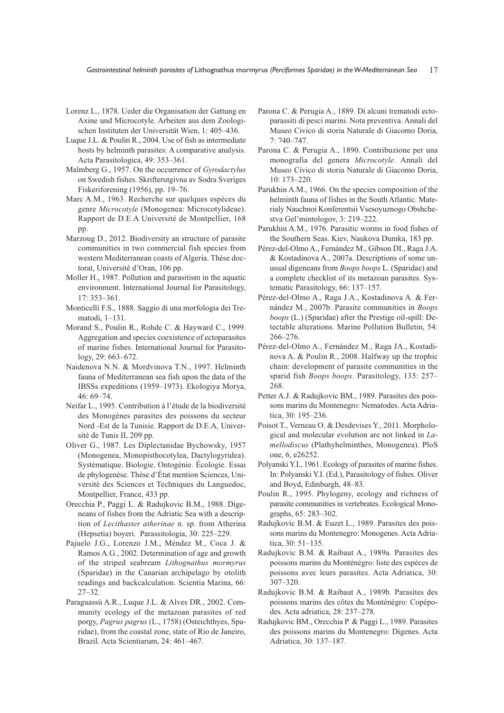- Lorenz L., 1878. Ueder die Organisation der Gattung en Axine und Microcotyle. Arbeiten aus dem Zoologischen Instituten der Universität Wien, 1: 405–436.
- Luque J.L. & Poulin R., 2004. Use of fish as intermediate hosts by helminth parasites: A comparative analysis. Acta Parasitologica, 49: 353–361.
- Malmberg G., 1957. On the occurrence of *Gyrodactylus* on Swedish fishes. Skrifterutgivna av Sodra Sveriges Fiskeriforening (1956), pp. 19–76.
- Marc A.M., 1963. Recherche sur quelques espèces du genre *Microcotyle* (Monogenea: Microcotylideae). Rapport de D.E.A Université de Montpellier, 168 pp.
- Marzoug D., 2012. Biodiversity an structure of parasite communities in two commercial fish species from western Mediterranean coasts of Algeria. Thèse doctorat, Université d'Oran, 106 pp.
- Moller H., 1987. Pollution and parasitism in the aquatic environment. International Journal for Parasitology, 17: 353–361.
- Monticelli F.S., 1888. Saggio di una morfologia dei Trematodi, 1–131.
- Morand S., Poulin R., Rohde C. & Hayward C., 1999. Aggregation and species coexistence of ectoparasites of marine fishes. International Journal for Parasitology, 29: 663–672.
- Naidenova N.N. & Mordvinova T.N., 1997. Helminth fauna of Mediterranean sea fish upon the data of the IBSSs expeditions (1959–1973). Ekologiya Morya,  $46.69 - 74.$
- Neifar L., 1995. Contribution à l'étude de la biodiversité des Monogènes parasites des poissons du secteur Nord -Est de la Tunisie. Rapport de D.E.A, Université de Tunis II, 209 pp.
- Oliver G., 1987. Les Diplectanidae Bychowsky, 1957 (Monogenea, Monopisthocotylea, Dactylogyridea). Systématique. Biologie. Ontogénie. Écologie. Essai de phylogenèse. Thèse d'État mention Sciences, Université des Sciences et Techniques du Languedoc, Montpellier, France, 433 pp.
- Orecchia P., Paggi L. & Radujkovic B.M., 1988. Digeneans of fishes from the Adriatic Sea with a description of *Lecithaster atherinae* n. sp. from Atherina (Hepsetia) boyeri. Parassitologia, 30: 225–229.
- Pajuelo J.G., Lorenzo J.M., Méndez M., Coca J. & Ramos A.G., 2002. Determination of age and growth of the striped seabream *Lithognathus mormyrus* (Sparidae) in the Canarian archipelago by otolith readings and backcalculation. Scientia Marina, 66: 27–32.
- Paraguassú A.R., Luque J.L. & Alves DR., 2002. Community ecology of the metazoan parasites of red porgy, *Pagrus pagrus* (L., 1758) (Osteichthyes, Sparidae), from the coastal zone, state of Rio de Janeiro, Brazil. Acta Scientiarum, 24: 461–467.
- Parona C. & Perugia A., 1889. Di alcuni trematodi ectoparassiti di pesci marini. Nota preventiva. Annali del Museo Civico di storia Naturale di Giacomo Doria, 7: 740–747.
- Parona C. & Perugia A., 1890. Contribuzione per una monografia del genera *Microcotyle*. Annali del Museo Civico di storia Naturale di Giacomo Doria, 10: 173–220.
- Parukhin A.M., 1966. On the species composition of the helminth fauna of fishes in the South Atlantic. Materialy Nauchnoi Konferentsii Vsesoyuznogo Obshchestva Gel'mintologov, 3: 219–222.
- Parukhin A.M., 1976. Parasitic worms in food fishes of the Southern Seas. Kiev, Naukova Dumka, 183 pp.
- Pérez-del-Olmo A., Fernández M., Gibson DI., Raga J.A. & Kostadinova A., 2007a. Descriptions of some unusual digeneans from *Boops boops* L. (Sparidae) and a complete checklist of its metazoan parasites. Systematic Parasitology, 66: 137–157.
- Pérez-del-Olmo A., Raga J.A., Kostadinova A. & Fernández M., 2007b. Parasite communities in *Boops boops* (L.) (Sparidae) after the Prestige oil-spill: Detectable alterations. Marine Pollution Bulletin, 54: 266–276.
- Pérez-del-Olmo A., Fernández M., Raga JA., Kostadinova A. & Poulin R., 2008. Halfway up the trophic chain: development of parasite communities in the sparid fish *Boops boops*. Parasitology, 135: 257– 268.
- Petter A.J. & Radujkovic BM., 1989. Parasites des poissons marins du Montenegro: Nematodes. Acta Adriatica, 30: 195–236.
- Poisot T., Verneau O. & Desdevises Y., 2011. Morphological and molecular evolution are not linked in *Lamellodiscus* (Plathyhelminthes, Monogenea). PloS one, 6, e26252.
- Polyanski Y.I., 1961. Ecology of parasites of marine fishes. In: Polyanski Y.I. (Ed.), Parasitology of fishes. Oliver and Boyd, Edinburgh, 48–83.
- Poulin R., 1995. Phylogeny, ecology and richness of parasite communities in vertebrates. Ecological Monographs, 65: 283–302.
- Radujkovic B.M. & Euzet L., 1989. Parasites des poissons marins du Montenegro: Monogenes. Acta Adriatica, 30: 51–135.
- Radujkovic B.M. & Raibaut A., 1989a. Parasites des poissons marins du Monténégro: liste des espèces de poissons avec leurs parasites. Acta Adriatica, 30: 307–320.
- Radujkovic B.M. & Raibaut A., 1989b. Parasites des poissons marins des côtes du Monténégro: Copépodes. Acta adriatica, 28: 237–278.
- Radujkovic BM., Orecchia P. & Paggi L., 1989. Parasites des poissons marins du Montenegro: Digenes. Acta Adriatica, 30: 137–187.